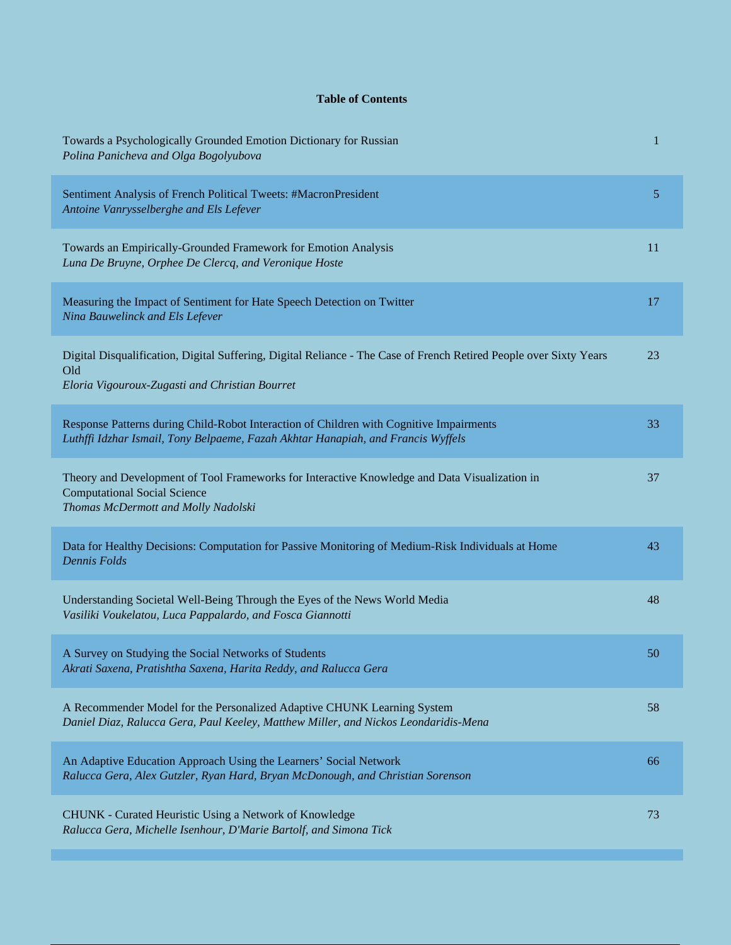## **Table of Contents**

| Towards a Psychologically Grounded Emotion Dictionary for Russian<br>Polina Panicheva and Olga Bogolyubova                                                                  | 1  |
|-----------------------------------------------------------------------------------------------------------------------------------------------------------------------------|----|
| Sentiment Analysis of French Political Tweets: #MacronPresident<br>Antoine Vanrysselberghe and Els Lefever                                                                  | 5  |
| Towards an Empirically-Grounded Framework for Emotion Analysis<br>Luna De Bruyne, Orphee De Clercq, and Veronique Hoste                                                     | 11 |
| Measuring the Impact of Sentiment for Hate Speech Detection on Twitter<br>Nina Bauwelinck and Els Lefever                                                                   | 17 |
| Digital Disqualification, Digital Suffering, Digital Reliance - The Case of French Retired People over Sixty Years<br>Old<br>Eloria Vigouroux-Zugasti and Christian Bourret | 23 |
| Response Patterns during Child-Robot Interaction of Children with Cognitive Impairments<br>Luthffi Idzhar Ismail, Tony Belpaeme, Fazah Akhtar Hanapiah, and Francis Wyffels | 33 |
| Theory and Development of Tool Frameworks for Interactive Knowledge and Data Visualization in<br><b>Computational Social Science</b><br>Thomas McDermott and Molly Nadolski | 37 |
| Data for Healthy Decisions: Computation for Passive Monitoring of Medium-Risk Individuals at Home<br><b>Dennis Folds</b>                                                    | 43 |
| Understanding Societal Well-Being Through the Eyes of the News World Media<br>Vasiliki Voukelatou, Luca Pappalardo, and Fosca Giannotti                                     | 48 |
| A Survey on Studying the Social Networks of Students<br>Akrati Saxena, Pratishtha Saxena, Harita Reddy, and Ralucca Gera                                                    | 50 |
| A Recommender Model for the Personalized Adaptive CHUNK Learning System<br>Daniel Diaz, Ralucca Gera, Paul Keeley, Matthew Miller, and Nickos Leondaridis-Mena              | 58 |
| An Adaptive Education Approach Using the Learners' Social Network<br>Ralucca Gera, Alex Gutzler, Ryan Hard, Bryan McDonough, and Christian Sorenson                         | 66 |
| CHUNK - Curated Heuristic Using a Network of Knowledge<br>Ralucca Gera, Michelle Isenhour, D'Marie Bartolf, and Simona Tick                                                 | 73 |